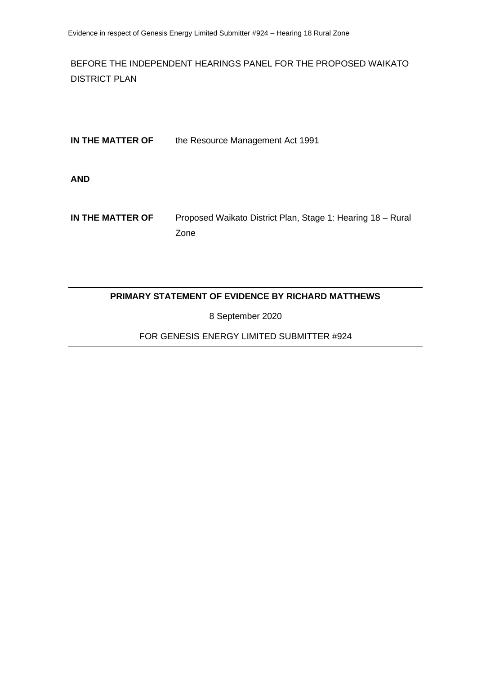BEFORE THE INDEPENDENT HEARINGS PANEL FOR THE PROPOSED WAIKATO DISTRICT PLAN

| IN THE MATTER OF | the Resource Management Act 1991                                    |
|------------------|---------------------------------------------------------------------|
| <b>AND</b>       |                                                                     |
| IN THE MATTER OF | Proposed Waikato District Plan, Stage 1: Hearing 18 - Rural<br>Zone |

## **PRIMARY STATEMENT OF EVIDENCE BY RICHARD MATTHEWS**

8 September 2020

FOR GENESIS ENERGY LIMITED SUBMITTER #924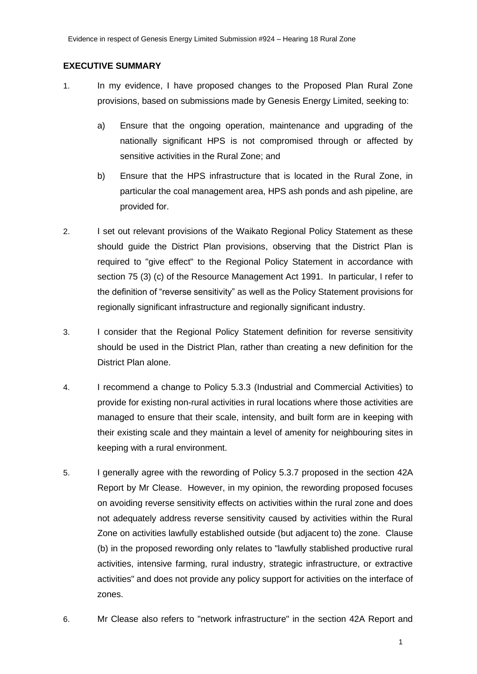#### **EXECUTIVE SUMMARY**

- 1. In my evidence, I have proposed changes to the Proposed Plan Rural Zone provisions, based on submissions made by Genesis Energy Limited, seeking to:
	- a) Ensure that the ongoing operation, maintenance and upgrading of the nationally significant HPS is not compromised through or affected by sensitive activities in the Rural Zone; and
	- b) Ensure that the HPS infrastructure that is located in the Rural Zone, in particular the coal management area, HPS ash ponds and ash pipeline, are provided for.
- 2. I set out relevant provisions of the Waikato Regional Policy Statement as these should guide the District Plan provisions, observing that the District Plan is required to "give effect" to the Regional Policy Statement in accordance with section 75 (3) (c) of the Resource Management Act 1991. In particular, I refer to the definition of "reverse sensitivity" as well as the Policy Statement provisions for regionally significant infrastructure and regionally significant industry.
- 3. I consider that the Regional Policy Statement definition for reverse sensitivity should be used in the District Plan, rather than creating a new definition for the District Plan alone.
- 4. I recommend a change to Policy 5.3.3 (Industrial and Commercial Activities) to provide for existing non-rural activities in rural locations where those activities are managed to ensure that their scale, intensity, and built form are in keeping with their existing scale and they maintain a level of amenity for neighbouring sites in keeping with a rural environment.
- 5. I generally agree with the rewording of Policy 5.3.7 proposed in the section 42A Report by Mr Clease. However, in my opinion, the rewording proposed focuses on avoiding reverse sensitivity effects on activities within the rural zone and does not adequately address reverse sensitivity caused by activities within the Rural Zone on activities lawfully established outside (but adjacent to) the zone. Clause (b) in the proposed rewording only relates to "lawfully stablished productive rural activities, intensive farming, rural industry, strategic infrastructure, or extractive activities" and does not provide any policy support for activities on the interface of zones.
- 6. Mr Clease also refers to "network infrastructure" in the section 42A Report and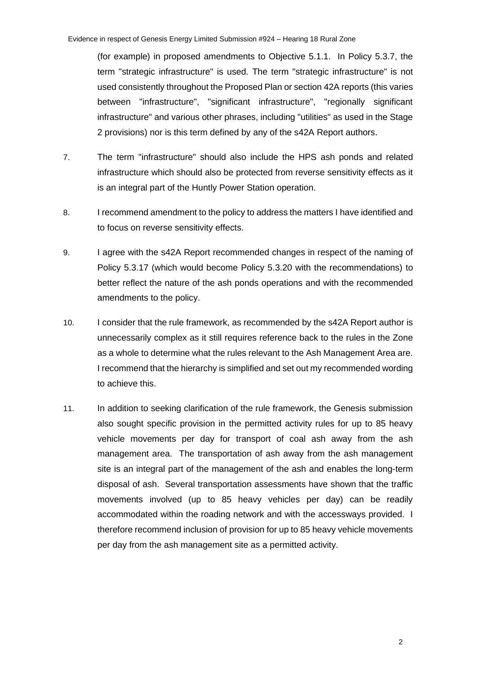(for example) in proposed amendments to Objective 5.1.1. In Policy 5.3.7, the term "strategic infrastructure" is used. The term "strategic infrastructure" is not used consistently throughout the Proposed Plan or section 42A reports (this varies between "infrastructure", "significant infrastructure", "regionally significant infrastructure" and various other phrases, including "utilities" as used in the Stage 2 provisions) nor is this term defined by any of the s42A Report authors.

- 7. The term "infrastructure" should also include the HPS ash ponds and related infrastructure which should also be protected from reverse sensitivity effects as it is an integral part of the Huntly Power Station operation.
- 8. I recommend amendment to the policy to address the matters I have identified and to focus on reverse sensitivity effects.
- 9. I agree with the s42A Report recommended changes in respect of the naming of Policy 5.3.17 (which would become Policy 5.3.20 with the recommendations) to better reflect the nature of the ash ponds operations and with the recommended amendments to the policy.
- 10. I consider that the rule framework, as recommended by the s42A Report author is unnecessarily complex as it still requires reference back to the rules in the Zone as a whole to determine what the rules relevant to the Ash Management Area are. I recommend that the hierarchy is simplified and set out my recommended wording to achieve this.
- 11. In addition to seeking clarification of the rule framework, the Genesis submission also sought specific provision in the permitted activity rules for up to 85 heavy vehicle movements per day for transport of coal ash away from the ash management area. The transportation of ash away from the ash management site is an integral part of the management of the ash and enables the long-term disposal of ash. Several transportation assessments have shown that the traffic movements involved (up to 85 heavy vehicles per day) can be readily accommodated within the roading network and with the accessways provided. I therefore recommend inclusion of provision for up to 85 heavy vehicle movements per day from the ash management site as a permitted activity.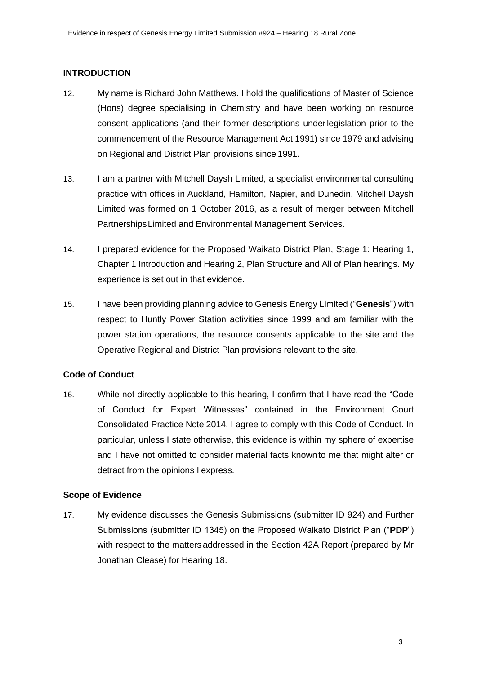### **INTRODUCTION**

- 12. My name is Richard John Matthews. I hold the qualifications of Master of Science (Hons) degree specialising in Chemistry and have been working on resource consent applications (and their former descriptions underlegislation prior to the commencement of the Resource Management Act 1991) since 1979 and advising on Regional and District Plan provisions since 1991.
- 13. I am a partner with Mitchell Daysh Limited, a specialist environmental consulting practice with offices in Auckland, Hamilton, Napier, and Dunedin. Mitchell Daysh Limited was formed on 1 October 2016, as a result of merger between Mitchell PartnershipsLimited and Environmental Management Services.
- 14. I prepared evidence for the Proposed Waikato District Plan, Stage 1: Hearing 1, Chapter 1 Introduction and Hearing 2, Plan Structure and All of Plan hearings. My experience is set out in that evidence.
- 15. I have been providing planning advice to Genesis Energy Limited ("**Genesis**") with respect to Huntly Power Station activities since 1999 and am familiar with the power station operations, the resource consents applicable to the site and the Operative Regional and District Plan provisions relevant to the site.

### **Code of Conduct**

16. While not directly applicable to this hearing, I confirm that I have read the "Code of Conduct for Expert Witnesses" contained in the Environment Court Consolidated Practice Note 2014. I agree to comply with this Code of Conduct. In particular, unless I state otherwise, this evidence is within my sphere of expertise and I have not omitted to consider material facts knownto me that might alter or detract from the opinions I express.

### **Scope of Evidence**

17. My evidence discusses the Genesis Submissions (submitter ID 924) and Further Submissions (submitter ID 1345) on the Proposed Waikato District Plan ("**PDP**") with respect to the matters addressed in the Section 42A Report (prepared by Mr Jonathan Clease) for Hearing 18.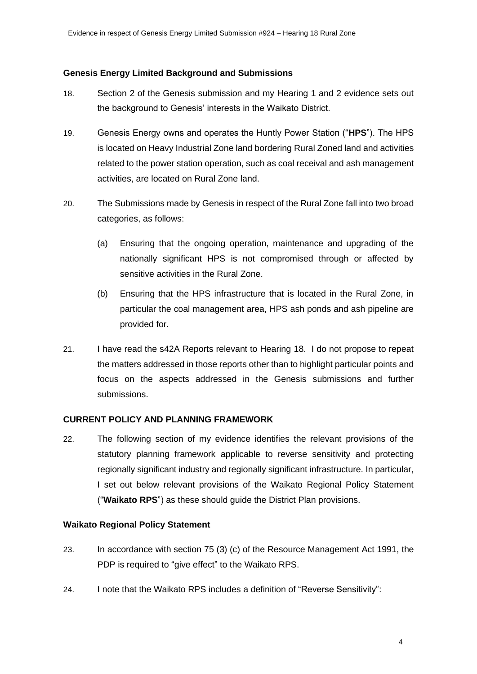#### **Genesis Energy Limited Background and Submissions**

- 18. Section 2 of the Genesis submission and my Hearing 1 and 2 evidence sets out the background to Genesis' interests in the Waikato District.
- 19. Genesis Energy owns and operates the Huntly Power Station ("**HPS**"). The HPS is located on Heavy Industrial Zone land bordering Rural Zoned land and activities related to the power station operation, such as coal receival and ash management activities, are located on Rural Zone land.
- 20. The Submissions made by Genesis in respect of the Rural Zone fall into two broad categories, as follows:
	- (a) Ensuring that the ongoing operation, maintenance and upgrading of the nationally significant HPS is not compromised through or affected by sensitive activities in the Rural Zone.
	- (b) Ensuring that the HPS infrastructure that is located in the Rural Zone, in particular the coal management area, HPS ash ponds and ash pipeline are provided for.
- 21. I have read the s42A Reports relevant to Hearing 18. I do not propose to repeat the matters addressed in those reports other than to highlight particular points and focus on the aspects addressed in the Genesis submissions and further submissions.

### **CURRENT POLICY AND PLANNING FRAMEWORK**

22. The following section of my evidence identifies the relevant provisions of the statutory planning framework applicable to reverse sensitivity and protecting regionally significant industry and regionally significant infrastructure. In particular, I set out below relevant provisions of the Waikato Regional Policy Statement ("**Waikato RPS**") as these should guide the District Plan provisions.

#### **Waikato Regional Policy Statement**

- 23. In accordance with section 75 (3) (c) of the Resource Management Act 1991, the PDP is required to "give effect" to the Waikato RPS.
- 24. I note that the Waikato RPS includes a definition of "Reverse Sensitivity":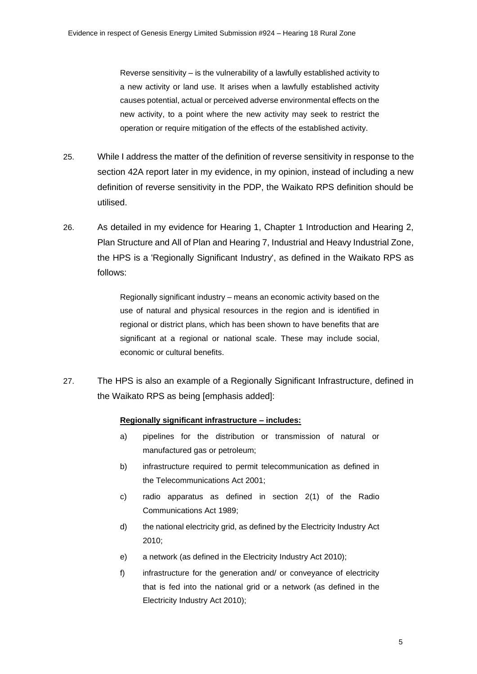Reverse sensitivity – is the vulnerability of a lawfully established activity to a new activity or land use. It arises when a lawfully established activity causes potential, actual or perceived adverse environmental effects on the new activity, to a point where the new activity may seek to restrict the operation or require mitigation of the effects of the established activity.

- 25. While I address the matter of the definition of reverse sensitivity in response to the section 42A report later in my evidence, in my opinion, instead of including a new definition of reverse sensitivity in the PDP, the Waikato RPS definition should be utilised.
- 26. As detailed in my evidence for Hearing 1, Chapter 1 Introduction and Hearing 2, Plan Structure and All of Plan and Hearing 7, Industrial and Heavy Industrial Zone, the HPS is a 'Regionally Significant Industry', as defined in the Waikato RPS as follows:

Regionally significant industry – means an economic activity based on the use of natural and physical resources in the region and is identified in regional or district plans, which has been shown to have benefits that are significant at a regional or national scale. These may include social, economic or cultural benefits.

27. The HPS is also an example of a Regionally Significant Infrastructure, defined in the Waikato RPS as being [emphasis added]:

#### **Regionally significant infrastructure – includes:**

- a) pipelines for the distribution or transmission of natural or manufactured gas or petroleum;
- b) infrastructure required to permit telecommunication as defined in the Telecommunications Act 2001;
- c) radio apparatus as defined in section 2(1) of the Radio Communications Act 1989;
- d) the national electricity grid, as defined by the Electricity Industry Act 2010;
- e) a network (as defined in the Electricity Industry Act 2010);
- f) infrastructure for the generation and/ or conveyance of electricity that is fed into the national grid or a network (as defined in the Electricity Industry Act 2010);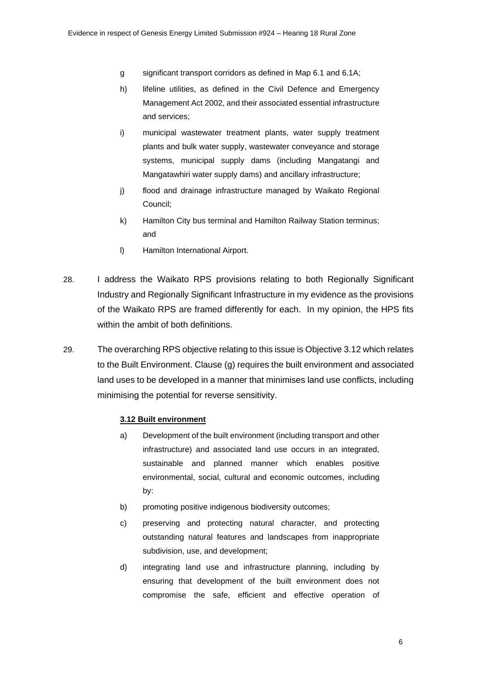- g significant transport corridors as defined in Map 6.1 and 6.1A;
- h) lifeline utilities, as defined in the Civil Defence and Emergency Management Act 2002, and their associated essential infrastructure and services;
- i) municipal wastewater treatment plants, water supply treatment plants and bulk water supply, wastewater conveyance and storage systems, municipal supply dams (including Mangatangi and Mangatawhiri water supply dams) and ancillary infrastructure;
- j) flood and drainage infrastructure managed by Waikato Regional Council;
- k) Hamilton City bus terminal and Hamilton Railway Station terminus; and
- l) Hamilton International Airport.
- 28. I address the Waikato RPS provisions relating to both Regionally Significant Industry and Regionally Significant Infrastructure in my evidence as the provisions of the Waikato RPS are framed differently for each. In my opinion, the HPS fits within the ambit of both definitions.
- 29. The overarching RPS objective relating to this issue is Objective 3.12 which relates to the Built Environment. Clause (g) requires the built environment and associated land uses to be developed in a manner that minimises land use conflicts, including minimising the potential for reverse sensitivity.

#### **3.12 Built environment**

- a) Development of the built environment (including transport and other infrastructure) and associated land use occurs in an integrated, sustainable and planned manner which enables positive environmental, social, cultural and economic outcomes, including by:
- b) promoting positive indigenous biodiversity outcomes;
- c) preserving and protecting natural character, and protecting outstanding natural features and landscapes from inappropriate subdivision, use, and development;
- d) integrating land use and infrastructure planning, including by ensuring that development of the built environment does not compromise the safe, efficient and effective operation of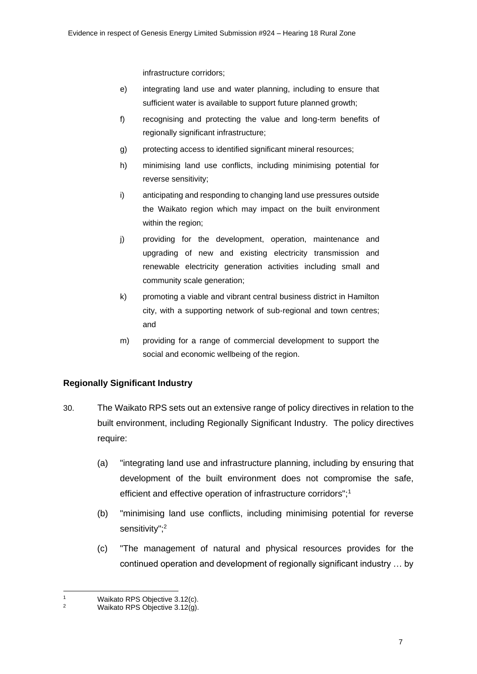infrastructure corridors;

- e) integrating land use and water planning, including to ensure that sufficient water is available to support future planned growth;
- f) recognising and protecting the value and long-term benefits of regionally significant infrastructure;
- g) protecting access to identified significant mineral resources;
- h) minimising land use conflicts, including minimising potential for reverse sensitivity;
- i) anticipating and responding to changing land use pressures outside the Waikato region which may impact on the built environment within the region;
- j) providing for the development, operation, maintenance and upgrading of new and existing electricity transmission and renewable electricity generation activities including small and community scale generation;
- k) promoting a viable and vibrant central business district in Hamilton city, with a supporting network of sub-regional and town centres; and
- m) providing for a range of commercial development to support the social and economic wellbeing of the region.

## **Regionally Significant Industry**

- 30. The Waikato RPS sets out an extensive range of policy directives in relation to the built environment, including Regionally Significant Industry. The policy directives require:
	- (a) "integrating land use and infrastructure planning, including by ensuring that development of the built environment does not compromise the safe, efficient and effective operation of infrastructure corridors";<sup>1</sup>
	- (b) "minimising land use conflicts, including minimising potential for reverse sensitivity";<sup>2</sup>
	- (c) "The management of natural and physical resources provides for the continued operation and development of regionally significant industry … by

<sup>1</sup> Waikato RPS Objective 3.12(c).

Waikato RPS Objective 3.12(g).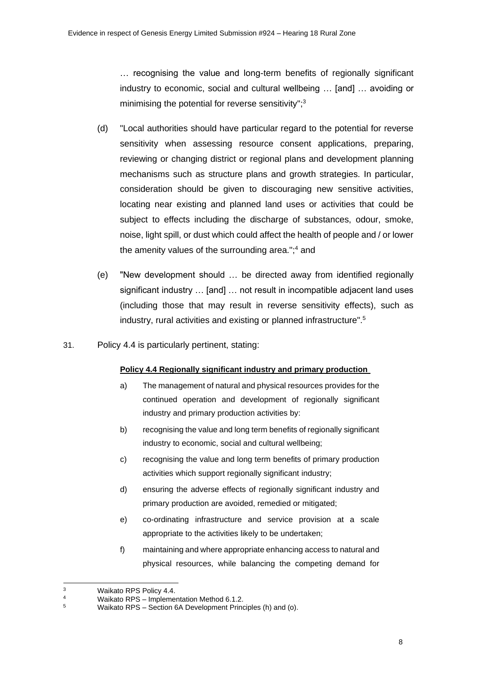… recognising the value and long-term benefits of regionally significant industry to economic, social and cultural wellbeing … [and] … avoiding or minimising the potential for reverse sensitivity";<sup>3</sup>

- (d) "Local authorities should have particular regard to the potential for reverse sensitivity when assessing resource consent applications, preparing, reviewing or changing district or regional plans and development planning mechanisms such as structure plans and growth strategies. In particular, consideration should be given to discouraging new sensitive activities, locating near existing and planned land uses or activities that could be subject to effects including the discharge of substances, odour, smoke, noise, light spill, or dust which could affect the health of people and / or lower the amenity values of the surrounding area.";<sup>4</sup> and
- (e) "New development should … be directed away from identified regionally significant industry … [and] … not result in incompatible adjacent land uses (including those that may result in reverse sensitivity effects), such as industry, rural activities and existing or planned infrastructure".<sup>5</sup>
- 31. Policy 4.4 is particularly pertinent, stating:

### **Policy 4.4 Regionally significant industry and primary production**

- a) The management of natural and physical resources provides for the continued operation and development of regionally significant industry and primary production activities by:
- b) recognising the value and long term benefits of regionally significant industry to economic, social and cultural wellbeing;
- c) recognising the value and long term benefits of primary production activities which support regionally significant industry;
- d) ensuring the adverse effects of regionally significant industry and primary production are avoided, remedied or mitigated;
- e) co-ordinating infrastructure and service provision at a scale appropriate to the activities likely to be undertaken;
- f) maintaining and where appropriate enhancing access to natural and physical resources, while balancing the competing demand for

<sup>&</sup>lt;sup>3</sup> Waikato RPS Policy 4.4.<br><sup>4</sup> Waikato RPS – Impleme

<sup>4</sup> Waikato RPS – Implementation Method 6.1.2.

<sup>5</sup> Waikato RPS – Section 6A Development Principles (h) and (o).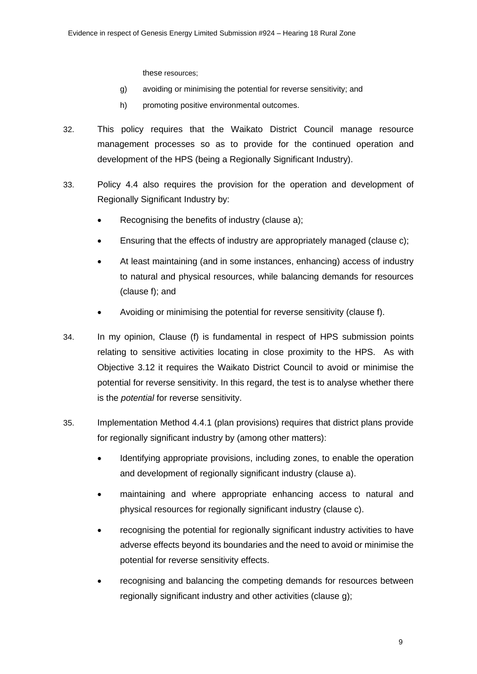these resources;

- g) avoiding or minimising the potential for reverse sensitivity; and
- h) promoting positive environmental outcomes.
- 32. This policy requires that the Waikato District Council manage resource management processes so as to provide for the continued operation and development of the HPS (being a Regionally Significant Industry).
- 33. Policy 4.4 also requires the provision for the operation and development of Regionally Significant Industry by:
	- Recognising the benefits of industry (clause a);
	- Ensuring that the effects of industry are appropriately managed (clause c);
	- At least maintaining (and in some instances, enhancing) access of industry to natural and physical resources, while balancing demands for resources (clause f); and
	- Avoiding or minimising the potential for reverse sensitivity (clause f).
- 34. In my opinion, Clause (f) is fundamental in respect of HPS submission points relating to sensitive activities locating in close proximity to the HPS. As with Objective 3.12 it requires the Waikato District Council to avoid or minimise the potential for reverse sensitivity. In this regard, the test is to analyse whether there is the *potential* for reverse sensitivity.
- 35. Implementation Method 4.4.1 (plan provisions) requires that district plans provide for regionally significant industry by (among other matters):
	- Identifying appropriate provisions, including zones, to enable the operation and development of regionally significant industry (clause a).
	- maintaining and where appropriate enhancing access to natural and physical resources for regionally significant industry (clause c).
	- recognising the potential for regionally significant industry activities to have adverse effects beyond its boundaries and the need to avoid or minimise the potential for reverse sensitivity effects.
	- recognising and balancing the competing demands for resources between regionally significant industry and other activities (clause g);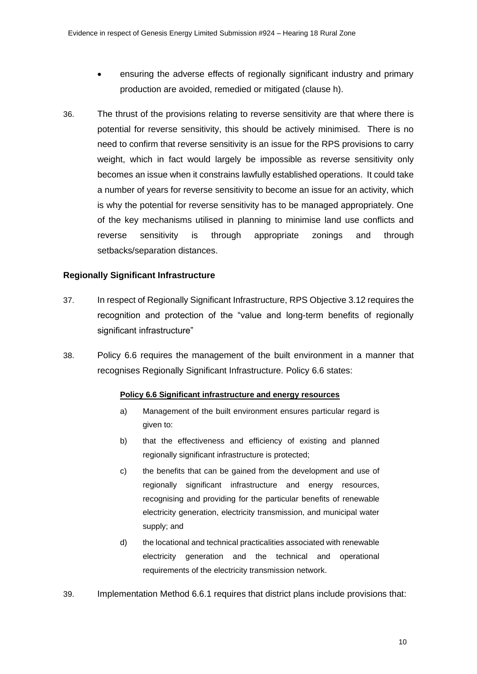- ensuring the adverse effects of regionally significant industry and primary production are avoided, remedied or mitigated (clause h).
- 36. The thrust of the provisions relating to reverse sensitivity are that where there is potential for reverse sensitivity, this should be actively minimised. There is no need to confirm that reverse sensitivity is an issue for the RPS provisions to carry weight, which in fact would largely be impossible as reverse sensitivity only becomes an issue when it constrains lawfully established operations. It could take a number of years for reverse sensitivity to become an issue for an activity, which is why the potential for reverse sensitivity has to be managed appropriately. One of the key mechanisms utilised in planning to minimise land use conflicts and reverse sensitivity is through appropriate zonings and through setbacks/separation distances.

### **Regionally Significant Infrastructure**

- 37. In respect of Regionally Significant Infrastructure, RPS Objective 3.12 requires the recognition and protection of the "value and long-term benefits of regionally significant infrastructure"
- 38. Policy 6.6 requires the management of the built environment in a manner that recognises Regionally Significant Infrastructure. Policy 6.6 states:

#### **Policy 6.6 Significant infrastructure and energy resources**

- a) Management of the built environment ensures particular regard is given to:
- b) that the effectiveness and efficiency of existing and planned regionally significant infrastructure is protected;
- c) the benefits that can be gained from the development and use of regionally significant infrastructure and energy resources, recognising and providing for the particular benefits of renewable electricity generation, electricity transmission, and municipal water supply; and
- d) the locational and technical practicalities associated with renewable electricity generation and the technical and operational requirements of the electricity transmission network.
- 39. Implementation Method 6.6.1 requires that district plans include provisions that: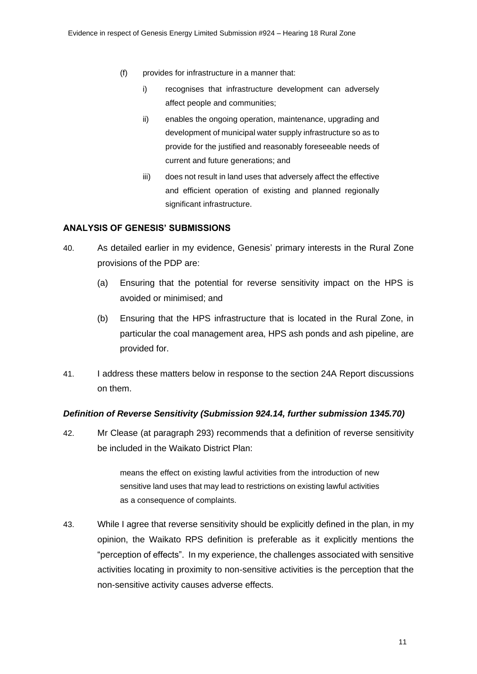- (f) provides for infrastructure in a manner that:
	- i) recognises that infrastructure development can adversely affect people and communities;
	- ii) enables the ongoing operation, maintenance, upgrading and development of municipal water supply infrastructure so as to provide for the justified and reasonably foreseeable needs of current and future generations; and
	- iii) does not result in land uses that adversely affect the effective and efficient operation of existing and planned regionally significant infrastructure.

#### **ANALYSIS OF GENESIS' SUBMISSIONS**

- 40. As detailed earlier in my evidence, Genesis' primary interests in the Rural Zone provisions of the PDP are:
	- (a) Ensuring that the potential for reverse sensitivity impact on the HPS is avoided or minimised; and
	- (b) Ensuring that the HPS infrastructure that is located in the Rural Zone, in particular the coal management area, HPS ash ponds and ash pipeline, are provided for.
- 41. I address these matters below in response to the section 24A Report discussions on them.

#### *Definition of Reverse Sensitivity (Submission 924.14, further submission 1345.70)*

42. Mr Clease (at paragraph 293) recommends that a definition of reverse sensitivity be included in the Waikato District Plan:

> means the effect on existing lawful activities from the introduction of new sensitive land uses that may lead to restrictions on existing lawful activities as a consequence of complaints.

43. While I agree that reverse sensitivity should be explicitly defined in the plan, in my opinion, the Waikato RPS definition is preferable as it explicitly mentions the "perception of effects". In my experience, the challenges associated with sensitive activities locating in proximity to non-sensitive activities is the perception that the non-sensitive activity causes adverse effects.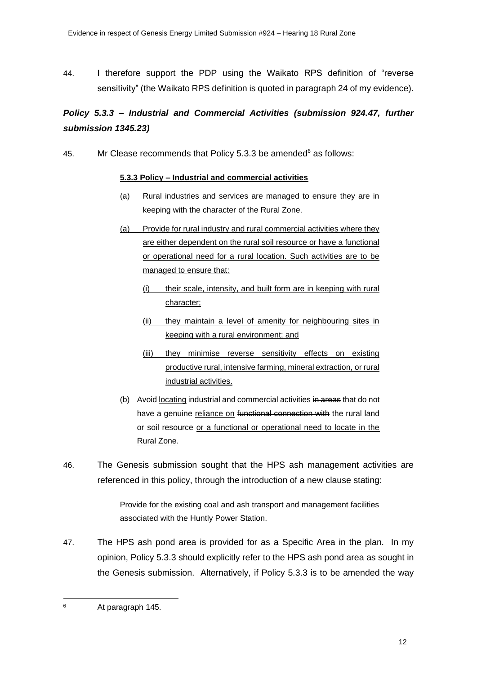44. I therefore support the PDP using the Waikato RPS definition of "reverse sensitivity" (the Waikato RPS definition is quoted in paragraph 24 of my evidence).

# *Policy 5.3.3 – Industrial and Commercial Activities (submission 924.47, further submission 1345.23)*

45. Mr Clease recommends that Policy  $5.3.3$  be amended<sup>6</sup> as follows:

### **5.3.3 Policy – Industrial and commercial activities**

- (a) Rural industries and services are managed to ensure they are in keeping with the character of the Rural Zone.
- (a) Provide for rural industry and rural commercial activities where they are either dependent on the rural soil resource or have a functional or operational need for a rural location. Such activities are to be managed to ensure that:
	- (i) their scale, intensity, and built form are in keeping with rural character;
	- (ii) they maintain a level of amenity for neighbouring sites in keeping with a rural environment; and
	- (iii) they minimise reverse sensitivity effects on existing productive rural, intensive farming, mineral extraction, or rural industrial activities.
- (b) Avoid locating industrial and commercial activities in areas that do not have a genuine reliance on functional connection with the rural land or soil resource or a functional or operational need to locate in the Rural Zone.
- 46. The Genesis submission sought that the HPS ash management activities are referenced in this policy, through the introduction of a new clause stating:

Provide for the existing coal and ash transport and management facilities associated with the Huntly Power Station.

47. The HPS ash pond area is provided for as a Specific Area in the plan. In my opinion, Policy 5.3.3 should explicitly refer to the HPS ash pond area as sought in the Genesis submission. Alternatively, if Policy 5.3.3 is to be amended the way

<sup>6</sup> At paragraph 145.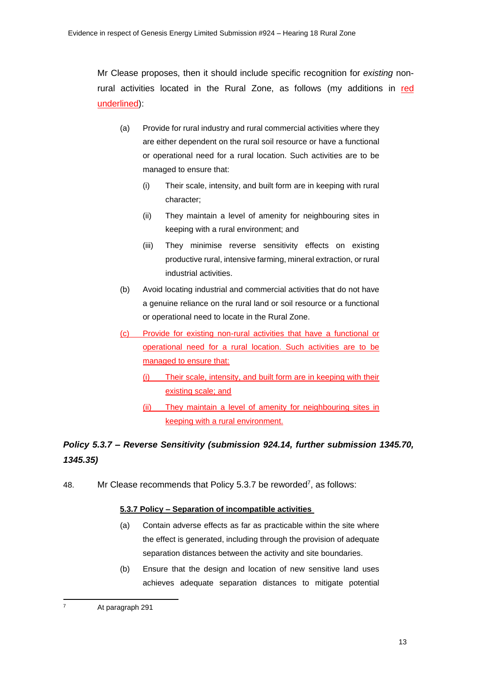Mr Clease proposes, then it should include specific recognition for *existing* nonrural activities located in the Rural Zone, as follows (my additions in red underlined):

- (a) Provide for rural industry and rural commercial activities where they are either dependent on the rural soil resource or have a functional or operational need for a rural location. Such activities are to be managed to ensure that:
	- (i) Their scale, intensity, and built form are in keeping with rural character;
	- (ii) They maintain a level of amenity for neighbouring sites in keeping with a rural environment; and
	- (iii) They minimise reverse sensitivity effects on existing productive rural, intensive farming, mineral extraction, or rural industrial activities.
- (b) Avoid locating industrial and commercial activities that do not have a genuine reliance on the rural land or soil resource or a functional or operational need to locate in the Rural Zone.
- (c) Provide for existing non-rural activities that have a functional or operational need for a rural location. Such activities are to be managed to ensure that:
	- (i) Their scale, intensity, and built form are in keeping with their existing scale; and
	- (ii) They maintain a level of amenity for neighbouring sites in keeping with a rural environment.

# *Policy 5.3.7 – Reverse Sensitivity (submission 924.14, further submission 1345.70, 1345.35)*

48. Mr Clease recommends that Policy 5.3.7 be reworded<sup>7</sup>, as follows:

### **5.3.7 Policy – Separation of incompatible activities**

- (a) Contain adverse effects as far as practicable within the site where the effect is generated, including through the provision of adequate separation distances between the activity and site boundaries.
- (b) Ensure that the design and location of new sensitive land uses achieves adequate separation distances to mitigate potential

<sup>7</sup> At paragraph 291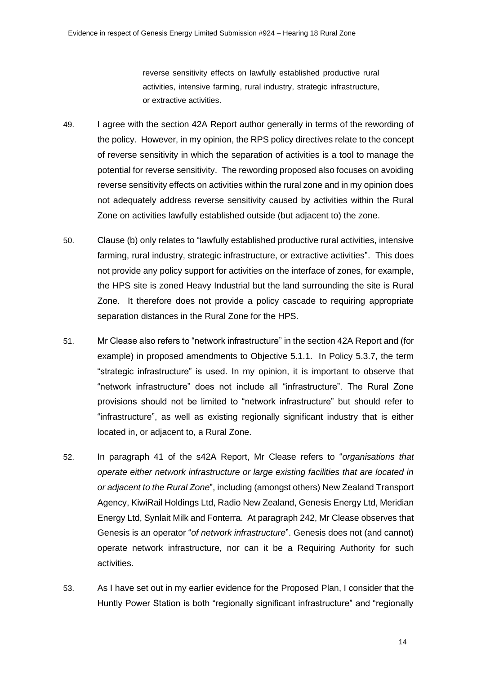reverse sensitivity effects on lawfully established productive rural activities, intensive farming, rural industry, strategic infrastructure, or extractive activities.

- 49. I agree with the section 42A Report author generally in terms of the rewording of the policy. However, in my opinion, the RPS policy directives relate to the concept of reverse sensitivity in which the separation of activities is a tool to manage the potential for reverse sensitivity. The rewording proposed also focuses on avoiding reverse sensitivity effects on activities within the rural zone and in my opinion does not adequately address reverse sensitivity caused by activities within the Rural Zone on activities lawfully established outside (but adjacent to) the zone.
- 50. Clause (b) only relates to "lawfully established productive rural activities, intensive farming, rural industry, strategic infrastructure, or extractive activities". This does not provide any policy support for activities on the interface of zones, for example, the HPS site is zoned Heavy Industrial but the land surrounding the site is Rural Zone. It therefore does not provide a policy cascade to requiring appropriate separation distances in the Rural Zone for the HPS.
- 51. Mr Clease also refers to "network infrastructure" in the section 42A Report and (for example) in proposed amendments to Objective 5.1.1. In Policy 5.3.7, the term "strategic infrastructure" is used. In my opinion, it is important to observe that "network infrastructure" does not include all "infrastructure". The Rural Zone provisions should not be limited to "network infrastructure" but should refer to "infrastructure", as well as existing regionally significant industry that is either located in, or adjacent to, a Rural Zone.
- 52. In paragraph 41 of the s42A Report, Mr Clease refers to "*organisations that operate either network infrastructure or large existing facilities that are located in or adjacent to the Rural Zone*", including (amongst others) New Zealand Transport Agency, KiwiRail Holdings Ltd, Radio New Zealand, Genesis Energy Ltd, Meridian Energy Ltd, Synlait Milk and Fonterra. At paragraph 242, Mr Clease observes that Genesis is an operator "*of network infrastructure*". Genesis does not (and cannot) operate network infrastructure, nor can it be a Requiring Authority for such activities.
- 53. As I have set out in my earlier evidence for the Proposed Plan, I consider that the Huntly Power Station is both "regionally significant infrastructure" and "regionally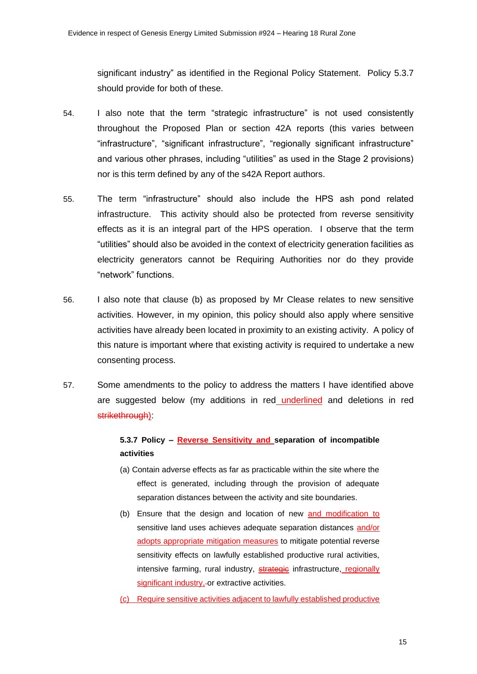significant industry" as identified in the Regional Policy Statement. Policy 5.3.7 should provide for both of these.

- 54. I also note that the term "strategic infrastructure" is not used consistently throughout the Proposed Plan or section 42A reports (this varies between "infrastructure", "significant infrastructure", "regionally significant infrastructure" and various other phrases, including "utilities" as used in the Stage 2 provisions) nor is this term defined by any of the s42A Report authors.
- 55. The term "infrastructure" should also include the HPS ash pond related infrastructure. This activity should also be protected from reverse sensitivity effects as it is an integral part of the HPS operation. I observe that the term "utilities" should also be avoided in the context of electricity generation facilities as electricity generators cannot be Requiring Authorities nor do they provide "network" functions.
- 56. I also note that clause (b) as proposed by Mr Clease relates to new sensitive activities. However, in my opinion, this policy should also apply where sensitive activities have already been located in proximity to an existing activity. A policy of this nature is important where that existing activity is required to undertake a new consenting process.
- 57. Some amendments to the policy to address the matters I have identified above are suggested below (my additions in red underlined and deletions in red strikethrough):

## **5.3.7 Policy – Reverse Sensitivity and separation of incompatible activities**

- (a) Contain adverse effects as far as practicable within the site where the effect is generated, including through the provision of adequate separation distances between the activity and site boundaries.
- (b) Ensure that the design and location of new and modification to sensitive land uses achieves adequate separation distances and/or adopts appropriate mitigation measures to mitigate potential reverse sensitivity effects on lawfully established productive rural activities, intensive farming, rural industry, strategie infrastructure, regionally significant industry,-or extractive activities.
- (c) Require sensitive activities adjacent to lawfully established productive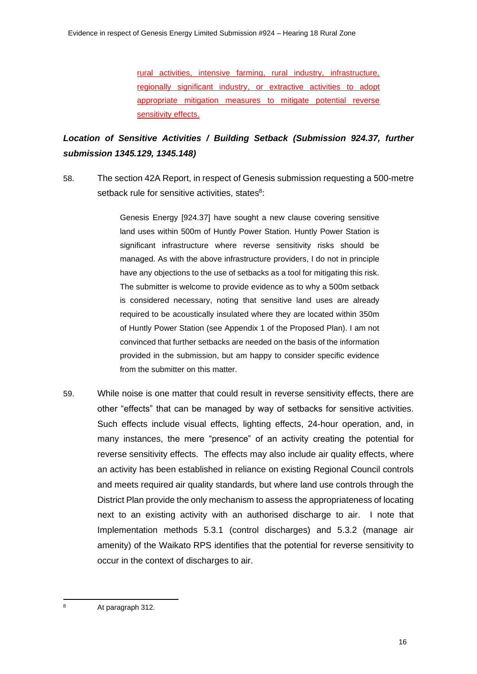rural activities, intensive farming, rural industry, infrastructure, regionally significant industry, or extractive activities to adopt appropriate mitigation measures to mitigate potential reverse sensitivity effects.

# *Location of Sensitive Activities / Building Setback (Submission 924.37, further submission 1345.129, 1345.148)*

58. The section 42A Report, in respect of Genesis submission requesting a 500-metre setback rule for sensitive activities, states<sup>8</sup>:

> Genesis Energy [924.37] have sought a new clause covering sensitive land uses within 500m of Huntly Power Station. Huntly Power Station is significant infrastructure where reverse sensitivity risks should be managed. As with the above infrastructure providers, I do not in principle have any objections to the use of setbacks as a tool for mitigating this risk. The submitter is welcome to provide evidence as to why a 500m setback is considered necessary, noting that sensitive land uses are already required to be acoustically insulated where they are located within 350m of Huntly Power Station (see Appendix 1 of the Proposed Plan). I am not convinced that further setbacks are needed on the basis of the information provided in the submission, but am happy to consider specific evidence from the submitter on this matter.

59. While noise is one matter that could result in reverse sensitivity effects, there are other "effects" that can be managed by way of setbacks for sensitive activities. Such effects include visual effects, lighting effects, 24-hour operation, and, in many instances, the mere "presence" of an activity creating the potential for reverse sensitivity effects. The effects may also include air quality effects, where an activity has been established in reliance on existing Regional Council controls and meets required air quality standards, but where land use controls through the District Plan provide the only mechanism to assess the appropriateness of locating next to an existing activity with an authorised discharge to air. I note that Implementation methods 5.3.1 (control discharges) and 5.3.2 (manage air amenity) of the Waikato RPS identifies that the potential for reverse sensitivity to occur in the context of discharges to air.

<sup>8</sup> At paragraph 312.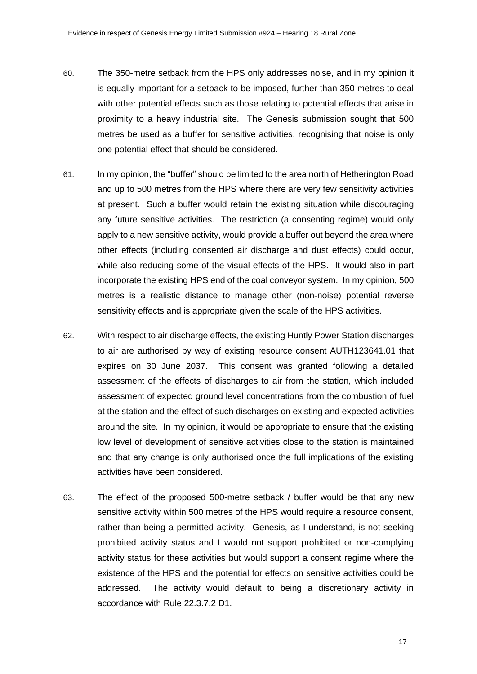- 60. The 350-metre setback from the HPS only addresses noise, and in my opinion it is equally important for a setback to be imposed, further than 350 metres to deal with other potential effects such as those relating to potential effects that arise in proximity to a heavy industrial site. The Genesis submission sought that 500 metres be used as a buffer for sensitive activities, recognising that noise is only one potential effect that should be considered.
- 61. In my opinion, the "buffer" should be limited to the area north of Hetherington Road and up to 500 metres from the HPS where there are very few sensitivity activities at present. Such a buffer would retain the existing situation while discouraging any future sensitive activities. The restriction (a consenting regime) would only apply to a new sensitive activity, would provide a buffer out beyond the area where other effects (including consented air discharge and dust effects) could occur, while also reducing some of the visual effects of the HPS. It would also in part incorporate the existing HPS end of the coal conveyor system. In my opinion, 500 metres is a realistic distance to manage other (non-noise) potential reverse sensitivity effects and is appropriate given the scale of the HPS activities.
- 62. With respect to air discharge effects, the existing Huntly Power Station discharges to air are authorised by way of existing resource consent AUTH123641.01 that expires on 30 June 2037. This consent was granted following a detailed assessment of the effects of discharges to air from the station, which included assessment of expected ground level concentrations from the combustion of fuel at the station and the effect of such discharges on existing and expected activities around the site. In my opinion, it would be appropriate to ensure that the existing low level of development of sensitive activities close to the station is maintained and that any change is only authorised once the full implications of the existing activities have been considered.
- 63. The effect of the proposed 500-metre setback / buffer would be that any new sensitive activity within 500 metres of the HPS would require a resource consent, rather than being a permitted activity. Genesis, as I understand, is not seeking prohibited activity status and I would not support prohibited or non-complying activity status for these activities but would support a consent regime where the existence of the HPS and the potential for effects on sensitive activities could be addressed. The activity would default to being a discretionary activity in accordance with Rule 22.3.7.2 D1.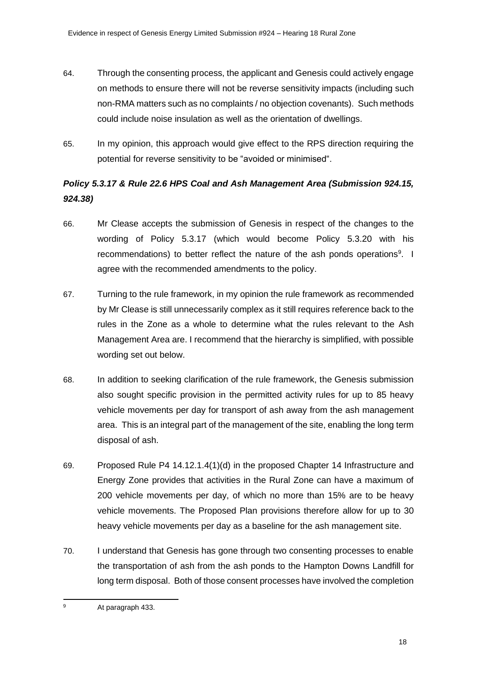- 64. Through the consenting process, the applicant and Genesis could actively engage on methods to ensure there will not be reverse sensitivity impacts (including such non-RMA matters such as no complaints / no objection covenants). Such methods could include noise insulation as well as the orientation of dwellings.
- 65. In my opinion, this approach would give effect to the RPS direction requiring the potential for reverse sensitivity to be "avoided or minimised".

# *Policy 5.3.17 & Rule 22.6 HPS Coal and Ash Management Area (Submission 924.15, 924.38)*

- 66. Mr Clease accepts the submission of Genesis in respect of the changes to the wording of Policy 5.3.17 (which would become Policy 5.3.20 with his recommendations) to better reflect the nature of the ash ponds operations<sup>9</sup>. I agree with the recommended amendments to the policy.
- 67. Turning to the rule framework, in my opinion the rule framework as recommended by Mr Clease is still unnecessarily complex as it still requires reference back to the rules in the Zone as a whole to determine what the rules relevant to the Ash Management Area are. I recommend that the hierarchy is simplified, with possible wording set out below.
- 68. In addition to seeking clarification of the rule framework, the Genesis submission also sought specific provision in the permitted activity rules for up to 85 heavy vehicle movements per day for transport of ash away from the ash management area. This is an integral part of the management of the site, enabling the long term disposal of ash.
- 69. Proposed Rule P4 14.12.1.4(1)(d) in the proposed Chapter 14 Infrastructure and Energy Zone provides that activities in the Rural Zone can have a maximum of 200 vehicle movements per day, of which no more than 15% are to be heavy vehicle movements. The Proposed Plan provisions therefore allow for up to 30 heavy vehicle movements per day as a baseline for the ash management site.
- 70. I understand that Genesis has gone through two consenting processes to enable the transportation of ash from the ash ponds to the Hampton Downs Landfill for long term disposal. Both of those consent processes have involved the completion

<sup>9</sup> At paragraph 433.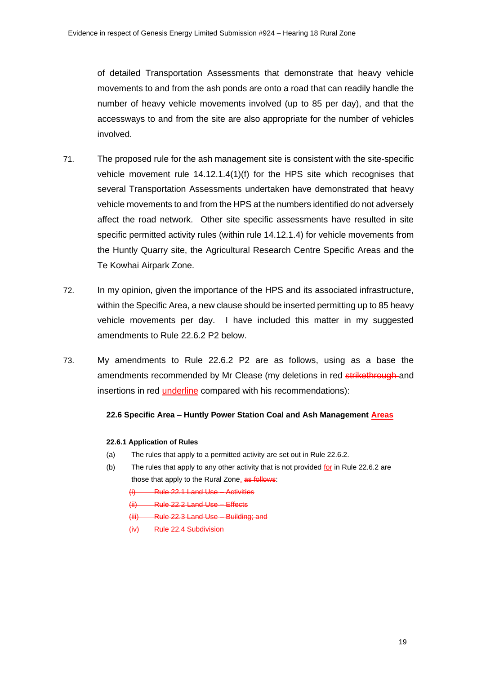of detailed Transportation Assessments that demonstrate that heavy vehicle movements to and from the ash ponds are onto a road that can readily handle the number of heavy vehicle movements involved (up to 85 per day), and that the accessways to and from the site are also appropriate for the number of vehicles involved.

- 71. The proposed rule for the ash management site is consistent with the site-specific vehicle movement rule 14.12.1.4(1)(f) for the HPS site which recognises that several Transportation Assessments undertaken have demonstrated that heavy vehicle movements to and from the HPS at the numbers identified do not adversely affect the road network. Other site specific assessments have resulted in site specific permitted activity rules (within rule 14.12.1.4) for vehicle movements from the Huntly Quarry site, the Agricultural Research Centre Specific Areas and the Te Kowhai Airpark Zone.
- 72. In my opinion, given the importance of the HPS and its associated infrastructure, within the Specific Area, a new clause should be inserted permitting up to 85 heavy vehicle movements per day. I have included this matter in my suggested amendments to Rule 22.6.2 P2 below.
- 73. My amendments to Rule 22.6.2 P2 are as follows, using as a base the amendments recommended by Mr Clease (my deletions in red strikethrough and insertions in red underline compared with his recommendations):

#### **22.6 Specific Area – Huntly Power Station Coal and Ash Management Areas**

#### **22.6.1 Application of Rules**

- (a) The rules that apply to a permitted activity are set out in Rule 22.6.2.
- (b) The rules that apply to any other activity that is not provided for in Rule 22.6.2 are those that apply to the Rural Zone. as follows:

(i) Rule 22.1 Land Use – Activities

- (ii) Rule 22.2 Land Use Effects
- (iii) Rule 22.3 Land Use Building; and
- (iv) Rule 22.4 Subdivision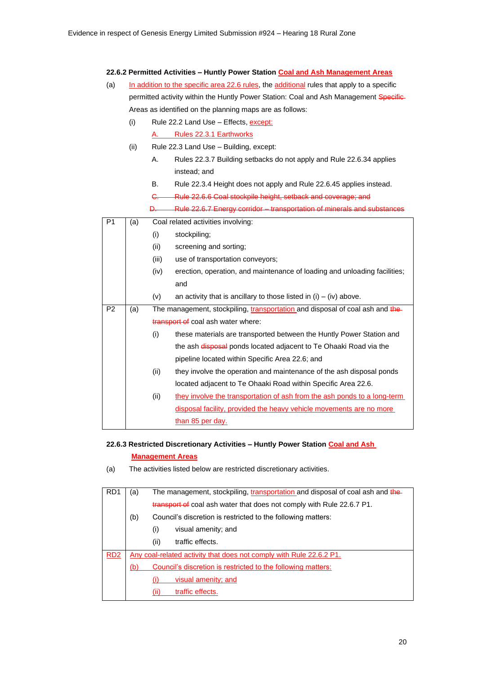#### **22.6.2 Permitted Activities – Huntly Power Station Coal and Ash Management Areas**

- (a) In addition to the specific area 22.6 rules, the additional rules that apply to a specific permitted activity within the Huntly Power Station: Coal and Ash Management Specific-Areas as identified on the planning maps are as follows:
	- (i) Rule 22.2 Land Use Effects, except: A. Rules 22.3.1 Earthworks
	- (ii) Rule 22.3 Land Use Building, except:
		- A. Rules 22.3.7 Building setbacks do not apply and Rule 22.6.34 applies instead; and
		- B. Rule 22.3.4 Height does not apply and Rule 22.6.45 applies instead.
		- C. Rule 22.6.6 Coal stockpile height, setback and coverage; and
		- D. Rule 22.6.7 Energy corridor transportation of minerals and substances

| P <sub>1</sub> | (a) |       | Coal related activities involving:                                           |
|----------------|-----|-------|------------------------------------------------------------------------------|
|                |     | (i)   | stockpiling;                                                                 |
|                |     | (ii)  | screening and sorting;                                                       |
|                |     | (iii) | use of transportation conveyors;                                             |
|                |     | (iv)  | erection, operation, and maintenance of loading and unloading facilities;    |
|                |     |       | and                                                                          |
|                |     | (v)   | an activity that is ancillary to those listed in $(i) - (iv)$ above.         |
| P <sub>2</sub> | (a) |       | The management, stockpiling, transportation and disposal of coal ash and the |
|                |     |       | transport of coal ash water where:                                           |
|                |     | (i)   | these materials are transported between the Huntly Power Station and         |
|                |     |       | the ash disposal ponds located adjacent to Te Ohaaki Road via the            |
|                |     |       | pipeline located within Specific Area 22.6; and                              |
|                |     | (ii)  | they involve the operation and maintenance of the ash disposal ponds         |
|                |     |       | located adjacent to Te Ohaaki Road within Specific Area 22.6.                |
|                |     | (ii)  | they involve the transportation of ash from the ash ponds to a long-term     |
|                |     |       | <u>disposal facility, provided the heavy vehicle movements are no more</u>   |
|                |     |       | <u>than 85 per day.</u>                                                      |

#### **22.6.3 Restricted Discretionary Activities – Huntly Power Station Coal and Ash**

#### **Management Areas**

(a) The activities listed below are restricted discretionary activities.

| R <sub>D</sub> 1 | (a) | The management, stockpiling, transportation and disposal of coal ash and the |
|------------------|-----|------------------------------------------------------------------------------|
|                  |     | transport of coal ash water that does not comply with Rule 22.6.7 P1.        |
|                  | (b) | Council's discretion is restricted to the following matters:                 |
|                  |     | visual amenity; and<br>(i)                                                   |
|                  |     | (ii)<br>traffic effects.                                                     |
| RD2              |     | Any coal-related activity that does not comply with Rule 22.6.2 P1.          |
|                  | (b) | Council's discretion is restricted to the following matters:                 |
|                  |     | visual amenity; and                                                          |
|                  |     | traffic effects.                                                             |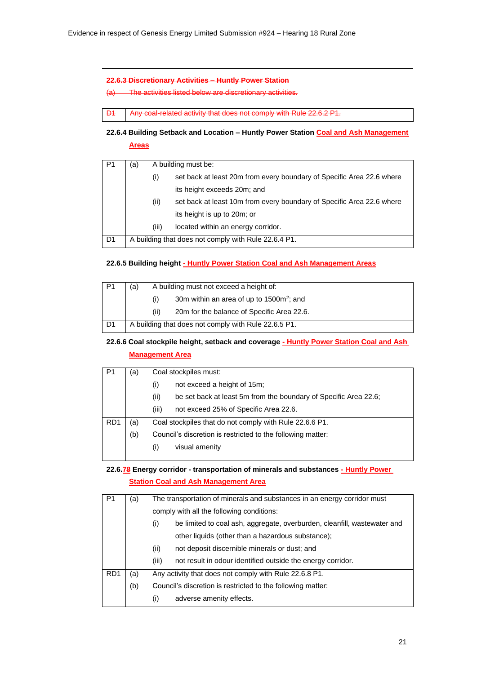#### **22.6.3 Discretionary Activities – Huntly Power Station**

(a) The activities listed below are discretionary activities.

D1 Any coal-related activity that does not comply with Rule 22.6.2 P1.

**22.6.4 Building Setback and Location – Huntly Power Station Coal and Ash Management Areas**

| P <sub>1</sub> | (a) |                | A building must be:                                                   |
|----------------|-----|----------------|-----------------------------------------------------------------------|
|                |     | $\mathbf{(i)}$ | set back at least 20m from every boundary of Specific Area 22.6 where |
|                |     |                | its height exceeds 20m; and                                           |
|                |     | (ii)           | set back at least 10m from every boundary of Specific Area 22.6 where |
|                |     |                | its height is up to 20m; or                                           |
|                |     | (iii)          | located within an energy corridor.                                    |
| D <sub>1</sub> |     |                | A building that does not comply with Rule 22.6.4 P1.                  |

#### **22.6.5 Building height - Huntly Power Station Coal and Ash Management Areas**

| P <sub>1</sub> | (a)  | A building must not exceed a height of:              |  |
|----------------|------|------------------------------------------------------|--|
|                | (i)  | 30m within an area of up to 1500m <sup>2</sup> ; and |  |
|                | (ii) | 20m for the balance of Specific Area 22.6.           |  |
| D1             |      | A building that does not comply with Rule 22.6.5 P1. |  |

### **22.6.6 Coal stockpile height, setback and coverage - Huntly Power Station Coal and Ash Management Area**

| P <sub>1</sub>   | (a) | Coal stockpiles must:                                                    |
|------------------|-----|--------------------------------------------------------------------------|
|                  |     | not exceed a height of 15m;<br>(i)                                       |
|                  |     | (ii)<br>be set back at least 5m from the boundary of Specific Area 22.6; |
|                  |     | (iii)<br>not exceed 25% of Specific Area 22.6.                           |
| R <sub>D</sub> 1 | (a) | Coal stockpiles that do not comply with Rule 22.6.6 P1.                  |
|                  | (b) | Council's discretion is restricted to the following matter:              |
|                  |     | visual amenity<br>$\left( 1\right)$                                      |
|                  |     |                                                                          |

### **22.6.78 Energy corridor - transportation of minerals and substances - Huntly Power Station Coal and Ash Management Area**

| P <sub>1</sub>  | (a) | The transportation of minerals and substances in an energy corridor must        |
|-----------------|-----|---------------------------------------------------------------------------------|
|                 |     | comply with all the following conditions:                                       |
|                 |     | be limited to coal ash, aggregate, overburden, cleanfill, wastewater and<br>(i) |
|                 |     | other liquids (other than a hazardous substance);                               |
|                 |     | (ii)<br>not deposit discernible minerals or dust; and                           |
|                 |     | (iii)<br>not result in odour identified outside the energy corridor.            |
| RD <sub>1</sub> | (a) | Any activity that does not comply with Rule 22.6.8 P1.                          |
|                 | (b) | Council's discretion is restricted to the following matter:                     |
|                 |     | adverse amenity effects.<br>(i)                                                 |
|                 |     |                                                                                 |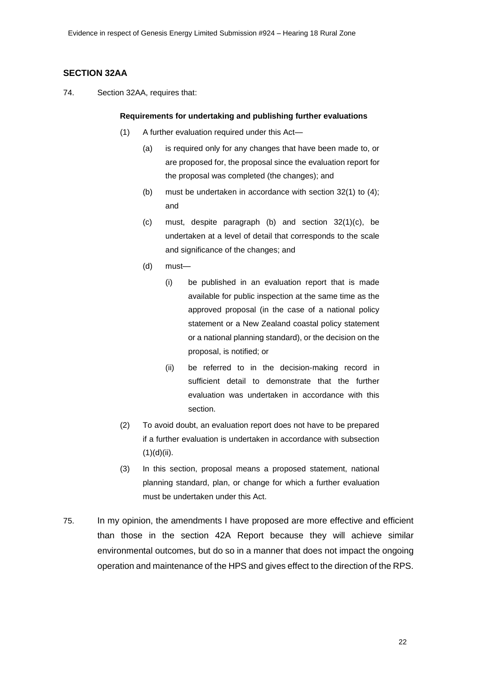### **SECTION 32AA**

74. Section 32AA, requires that:

#### **Requirements for undertaking and publishing further evaluations**

- (1) A further evaluation required under this Act—
	- (a) is required only for any changes that have been made to, or are proposed for, the proposal since the evaluation report for the proposal was completed (the changes); and
	- (b) must be undertaken in accordance with section 32(1) to (4); and
	- (c) must, despite paragraph (b) and section 32(1)(c), be undertaken at a level of detail that corresponds to the scale and significance of the changes; and
	- (d) must—
		- (i) be published in an evaluation report that is made available for public inspection at the same time as the approved proposal (in the case of a national policy statement or a New Zealand coastal policy statement or a national planning standard), or the decision on the proposal, is notified; or
		- (ii) be referred to in the decision-making record in sufficient detail to demonstrate that the further evaluation was undertaken in accordance with this section.
- (2) To avoid doubt, an evaluation report does not have to be prepared if a further evaluation is undertaken in accordance with subsection  $(1)(d)(ii)$ .
- (3) In this section, proposal means a proposed statement, national planning standard, plan, or change for which a further evaluation must be undertaken under this Act.
- 75. In my opinion, the amendments I have proposed are more effective and efficient than those in the section 42A Report because they will achieve similar environmental outcomes, but do so in a manner that does not impact the ongoing operation and maintenance of the HPS and gives effect to the direction of the RPS.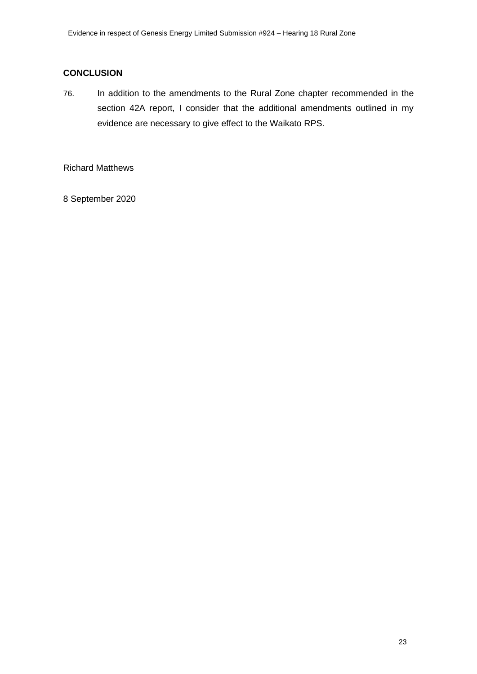### **CONCLUSION**

76. In addition to the amendments to the Rural Zone chapter recommended in the section 42A report, I consider that the additional amendments outlined in my evidence are necessary to give effect to the Waikato RPS.

Richard Matthews

8 September 2020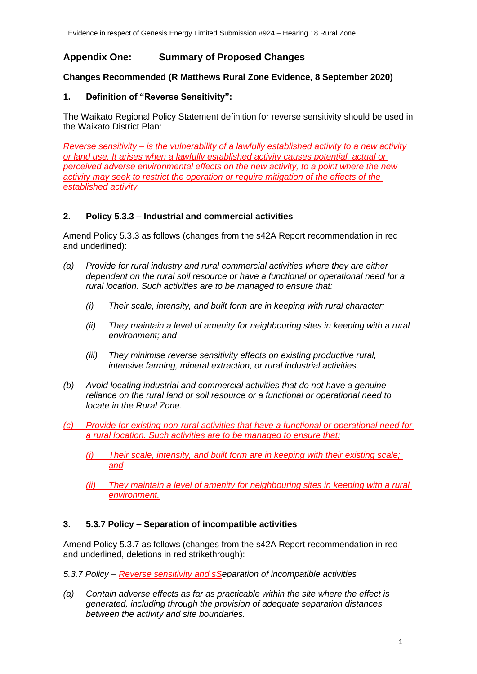## **Appendix One: Summary of Proposed Changes**

### **Changes Recommended (R Matthews Rural Zone Evidence, 8 September 2020)**

#### **1. Definition of "Reverse Sensitivity":**

The Waikato Regional Policy Statement definition for reverse sensitivity should be used in the Waikato District Plan:

*Reverse sensitivity – is the vulnerability of a lawfully established activity to a new activity or land use. It arises when a lawfully established activity causes potential, actual or perceived adverse environmental effects on the new activity, to a point where the new activity may seek to restrict the operation or require mitigation of the effects of the established activity.*

### **2. Policy 5.3.3 – Industrial and commercial activities**

Amend Policy 5.3.3 as follows (changes from the s42A Report recommendation in red and underlined):

- *(a) Provide for rural industry and rural commercial activities where they are either dependent on the rural soil resource or have a functional or operational need for a rural location. Such activities are to be managed to ensure that:*
	- *(i) Their scale, intensity, and built form are in keeping with rural character;*
	- *(ii) They maintain a level of amenity for neighbouring sites in keeping with a rural environment; and*
	- *(iii) They minimise reverse sensitivity effects on existing productive rural, intensive farming, mineral extraction, or rural industrial activities.*
- *(b) Avoid locating industrial and commercial activities that do not have a genuine reliance on the rural land or soil resource or a functional or operational need to locate in the Rural Zone.*
- *(c) Provide for existing non-rural activities that have a functional or operational need for a rural location. Such activities are to be managed to ensure that:*
	- *(i) Their scale, intensity, and built form are in keeping with their existing scale; and*
	- *(ii) They maintain a level of amenity for neighbouring sites in keeping with a rural environment.*

#### **3. 5.3.7 Policy – Separation of incompatible activities**

Amend Policy 5.3.7 as follows (changes from the s42A Report recommendation in red and underlined, deletions in red strikethrough):

*5.3.7 Policy – Reverse sensitivity and sSeparation of incompatible activities*

*(a) Contain adverse effects as far as practicable within the site where the effect is generated, including through the provision of adequate separation distances between the activity and site boundaries.*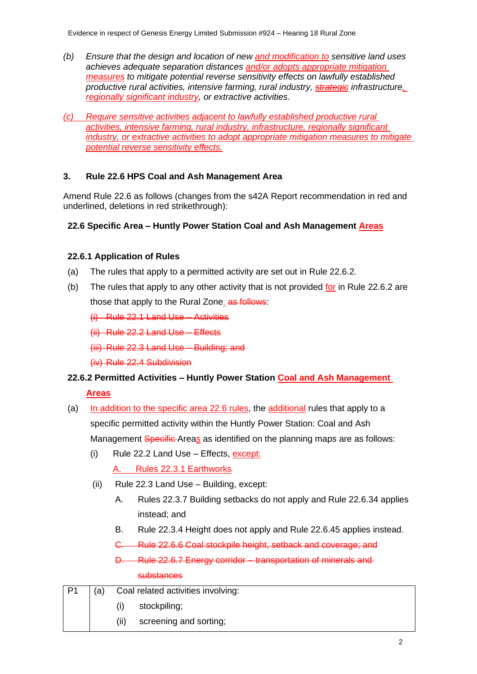- *(b) Ensure that the design and location of new and modification to sensitive land uses achieves adequate separation distances and/or adopts appropriate mitigation measures to mitigate potential reverse sensitivity effects on lawfully established productive rural activities, intensive farming, rural industry, strategic infrastructure, regionally significant industry, or extractive activities.*
- *(c) Require sensitive activities adjacent to lawfully established productive rural activities, intensive farming, rural industry, infrastructure, regionally significant industry, or extractive activities to adopt appropriate mitigation measures to mitigate potential reverse sensitivity effects.*

### **3. Rule 22.6 HPS Coal and Ash Management Area**

Amend Rule 22.6 as follows (changes from the s42A Report recommendation in red and underlined, deletions in red strikethrough):

### **22.6 Specific Area – Huntly Power Station Coal and Ash Management Areas**

### **22.6.1 Application of Rules**

- (a) The rules that apply to a permitted activity are set out in Rule 22.6.2.
- (b) The rules that apply to any other activity that is not provided for in Rule 22.6.2 are those that apply to the Rural Zone. as follows:
	- (i) Rule 22.1 Land Use Activities
	- (ii) Rule 22.2 Land Use Effects
	- (iii) Rule 22.3 Land Use Building; and
	- (iv) Rule 22.4 Subdivision

### **22.6.2 Permitted Activities – Huntly Power Station Coal and Ash Management**

**Areas**

- (a) In addition to the specific area 22.6 rules, the additional rules that apply to a specific permitted activity within the Huntly Power Station: Coal and Ash Management Specific Areas as identified on the planning maps are as follows:
	- (i) Rule 22.2 Land Use Effects,  $\frac{except:}{?}$

A. Rules 22.3.1 Earthworks

- (ii) Rule 22.3 Land Use Building, except:
	- A. Rules 22.3.7 Building setbacks do not apply and Rule 22.6.34 applies instead; and
	- B. Rule 22.3.4 Height does not apply and Rule 22.6.45 applies instead.
	- C. Rule 22.6.6 Coal stockpile height, setback and coverage; and
	- D. Rule 22.6.7 Energy corridor transportation of minerals and substances

| P1 | (a) |      | Coal related activities involving: |
|----|-----|------|------------------------------------|
|    |     |      | stockpiling;                       |
|    |     | (ii) | screening and sorting;             |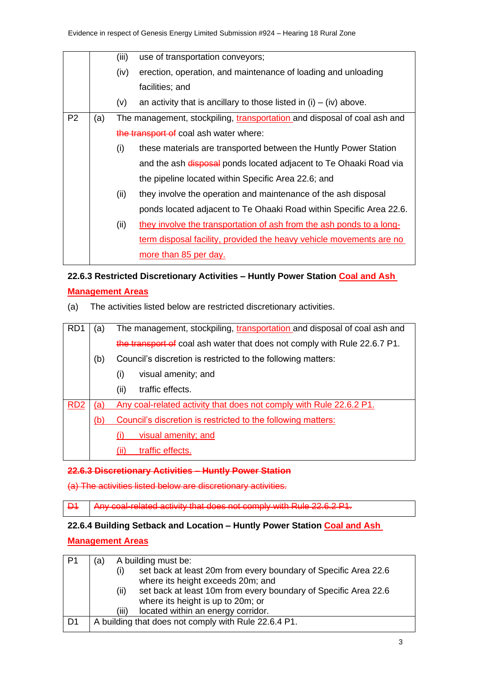|                |     | (iii) | use of transportation conveyors;                                         |
|----------------|-----|-------|--------------------------------------------------------------------------|
|                |     | (iv)  | erection, operation, and maintenance of loading and unloading            |
|                |     |       | facilities; and                                                          |
|                |     | (v)   | an activity that is ancillary to those listed in $(i) - (iv)$ above.     |
| P <sub>2</sub> | (a) |       | The management, stockpiling, transportation and disposal of coal ash and |
|                |     |       | the transport of coal ash water where:                                   |
|                |     | (i)   | these materials are transported between the Huntly Power Station         |
|                |     |       | and the ash disposal ponds located adjacent to Te Ohaaki Road via        |
|                |     |       | the pipeline located within Specific Area 22.6; and                      |
|                |     | (ii)  | they involve the operation and maintenance of the ash disposal           |
|                |     |       | ponds located adjacent to Te Ohaaki Road within Specific Area 22.6.      |
|                |     | (ii)  | they involve the transportation of ash from the ash ponds to a long-     |
|                |     |       | term disposal facility, provided the heavy vehicle movements are no      |
|                |     |       | more than 85 per day.                                                    |

## **22.6.3 Restricted Discretionary Activities – Huntly Power Station Coal and Ash**

### **Management Areas**

(a) The activities listed below are restricted discretionary activities.

| R <sub>D</sub> 1 | (a) | The management, stockpiling, transportation and disposal of coal ash and  |
|------------------|-----|---------------------------------------------------------------------------|
|                  |     | the transport of coal ash water that does not comply with Rule 22.6.7 P1. |
|                  | (b) | Council's discretion is restricted to the following matters:              |
|                  |     | visual amenity; and<br>(i)                                                |
|                  |     | (ii)<br>traffic effects.                                                  |
| RD <sub>2</sub>  | (a) | Any coal-related activity that does not comply with Rule 22.6.2 P1.       |
|                  | (b  | Council's discretion is restricted to the following matters:              |
|                  |     | visual amenity; and                                                       |
|                  |     | traffic effects.                                                          |

### **22.6.3 Discretionary Activities – Huntly Power Station**

(a) The activities listed below are discretionary activities.

D1 Any coal-related activity that does not comply with Rule 22.6.2 P1.

### **22.6.4 Building Setback and Location – Huntly Power Station Coal and Ash**

### **Management Areas**

| P1   | A building must be:<br>(a)                                                                                  |
|------|-------------------------------------------------------------------------------------------------------------|
|      | set back at least 20m from every boundary of Specific Area 22.6<br>(i)<br>where its height exceeds 20m; and |
|      | set back at least 10m from every boundary of Specific Area 22.6<br>(ii)                                     |
|      | where its height is up to 20m; or                                                                           |
|      | located within an energy corridor.<br>(III)                                                                 |
| . D1 | A building that does not comply with Rule 22.6.4 P1.                                                        |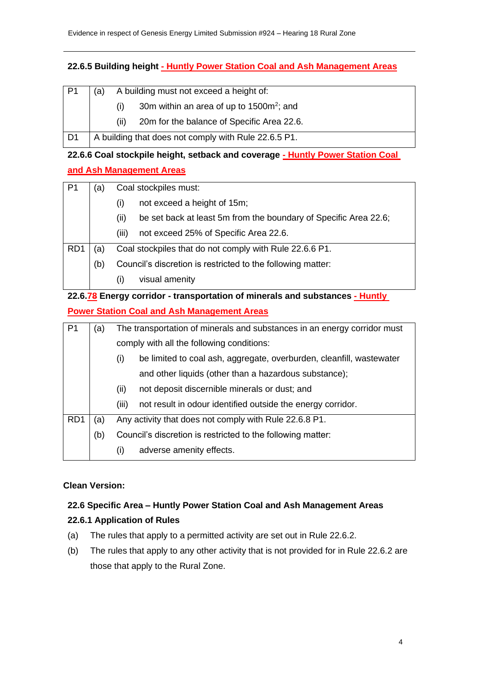### **22.6.5 Building height - Huntly Power Station Coal and Ash Management Areas**

| l P1 | A building must not exceed a height of:<br>(a)              |
|------|-------------------------------------------------------------|
|      | 30m within an area of up to 1500m <sup>2</sup> ; and<br>(1) |
|      | 20m for the balance of Specific Area 22.6.<br>(11)          |
| l D1 | A building that does not comply with Rule 22.6.5 P1.        |

# **22.6.6 Coal stockpile height, setback and coverage - Huntly Power Station Coal and Ash Management Areas**

| $\mathsf{P}1$   | a)  | Coal stockpiles must:                                                    |  |
|-----------------|-----|--------------------------------------------------------------------------|--|
|                 |     | not exceed a height of 15m;<br>(i)                                       |  |
|                 |     | be set back at least 5m from the boundary of Specific Area 22.6;<br>(ii) |  |
|                 |     | not exceed 25% of Specific Area 22.6.<br>(iii)                           |  |
| RD <sub>1</sub> | a)  | Coal stockpiles that do not comply with Rule 22.6.6 P1.                  |  |
|                 | (b) | Council's discretion is restricted to the following matter:              |  |
|                 |     | visual amenity<br>$\left( 1\right)$                                      |  |

## **22.6.78 Energy corridor - transportation of minerals and substances - Huntly Power Station Coal and Ash Management Areas**

| P <sub>1</sub>   | The transportation of minerals and substances in an energy corridor must<br>(a) |                                                                             |
|------------------|---------------------------------------------------------------------------------|-----------------------------------------------------------------------------|
|                  |                                                                                 | comply with all the following conditions:                                   |
|                  |                                                                                 | be limited to coal ash, aggregate, overburden, cleanfill, wastewater<br>(i) |
|                  |                                                                                 | and other liquids (other than a hazardous substance);                       |
|                  |                                                                                 | not deposit discernible minerals or dust; and<br>(ii)                       |
|                  |                                                                                 | not result in odour identified outside the energy corridor.<br>(iii)        |
| R <sub>D</sub> 1 | (a)                                                                             | Any activity that does not comply with Rule 22.6.8 P1.                      |
|                  | (b)                                                                             | Council's discretion is restricted to the following matter:                 |
|                  |                                                                                 | adverse amenity effects.<br>(i)                                             |

### **Clean Version:**

## **22.6 Specific Area – Huntly Power Station Coal and Ash Management Areas**

### **22.6.1 Application of Rules**

- (a) The rules that apply to a permitted activity are set out in Rule 22.6.2.
- (b) The rules that apply to any other activity that is not provided for in Rule 22.6.2 are those that apply to the Rural Zone.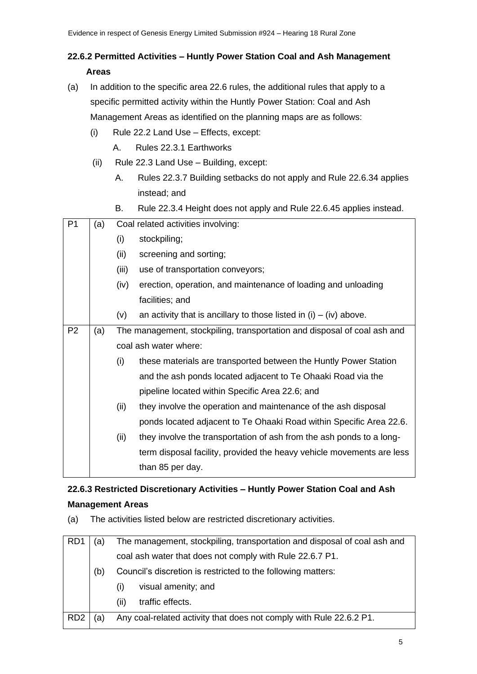## **22.6.2 Permitted Activities – Huntly Power Station Coal and Ash Management Areas**

- (a) In addition to the specific area 22.6 rules, the additional rules that apply to a specific permitted activity within the Huntly Power Station: Coal and Ash Management Areas as identified on the planning maps are as follows:
	- (i) Rule 22.2 Land Use Effects, except:
		- A. Rules 22.3.1 Earthworks
	- (ii) Rule 22.3 Land Use Building, except:
		- A. Rules 22.3.7 Building setbacks do not apply and Rule 22.6.34 applies instead; and
		- B. Rule 22.3.4 Height does not apply and Rule 22.6.45 applies instead.

| P <sub>1</sub> | (a) |       | Coal related activities involving:                                       |
|----------------|-----|-------|--------------------------------------------------------------------------|
|                |     | (i)   | stockpiling;                                                             |
|                |     | (ii)  | screening and sorting;                                                   |
|                |     | (iii) | use of transportation conveyors;                                         |
|                |     | (iv)  | erection, operation, and maintenance of loading and unloading            |
|                |     |       | facilities; and                                                          |
|                |     | (v)   | an activity that is ancillary to those listed in $(i) - (iv)$ above.     |
| P <sub>2</sub> | (a) |       | The management, stockpiling, transportation and disposal of coal ash and |
|                |     |       | coal ash water where:                                                    |
|                |     | (i)   | these materials are transported between the Huntly Power Station         |
|                |     |       | and the ash ponds located adjacent to Te Ohaaki Road via the             |
|                |     |       | pipeline located within Specific Area 22.6; and                          |
|                |     | (ii)  | they involve the operation and maintenance of the ash disposal           |
|                |     |       | ponds located adjacent to Te Ohaaki Road within Specific Area 22.6.      |
|                |     | (ii)  | they involve the transportation of ash from the ash ponds to a long-     |
|                |     |       | term disposal facility, provided the heavy vehicle movements are less    |
|                |     |       | than 85 per day.                                                         |

## **22.6.3 Restricted Discretionary Activities – Huntly Power Station Coal and Ash Management Areas**

(a) The activities listed below are restricted discretionary activities.

| RD1             | (a) | The management, stockpiling, transportation and disposal of coal ash and |
|-----------------|-----|--------------------------------------------------------------------------|
|                 |     | coal ash water that does not comply with Rule 22.6.7 P1.                 |
|                 | (b) | Council's discretion is restricted to the following matters:             |
|                 |     | visual amenity; and<br>$\sf(1)$                                          |
|                 |     | traffic effects.<br>(ii)                                                 |
| RD <sub>2</sub> | (a  | Any coal-related activity that does not comply with Rule 22.6.2 P1.      |